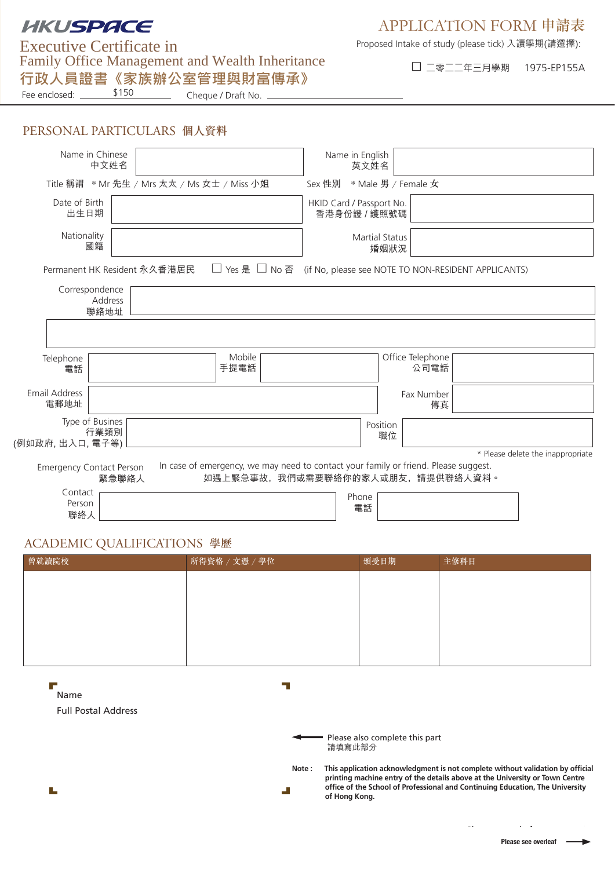# **HKUSPACE**

## APPLICATION FORM 申請表

Family Office Management and Wealth Inheritance □ ⼆零⼆⼆年三⽉學期 1975-EP155A Executive Certificate in **⾏政⼈員證書《家族辦公室管理與財富傳承》**

Proposed Intake of study (please tick) 入讀學期(請選擇):

Fee enclosed: Cheque / Draft No.

## PERSONAL PARTICULARS 個人資料

\$150

| Name in Chinese<br>中文姓名                     |                                             |                                                                                                                         | Name in English<br>英文姓名                  |                                                     |                                   |
|---------------------------------------------|---------------------------------------------|-------------------------------------------------------------------------------------------------------------------------|------------------------------------------|-----------------------------------------------------|-----------------------------------|
|                                             | Title 稱謂 * Mr 先生 / Mrs 太太 / Ms 女士 / Miss 小姐 |                                                                                                                         | Sex 性別                                   | * Male 男 / Female 女                                 |                                   |
| Date of Birth<br>出生日期                       |                                             |                                                                                                                         | HKID Card / Passport No.<br>香港身份證 / 護照號碼 |                                                     |                                   |
| Nationality<br>國籍                           |                                             |                                                                                                                         | <b>Martial Status</b>                    | 婚姻狀況                                                |                                   |
|                                             | Permanent HK Resident 永久香港居民                | □ Yes 是 □ No 否                                                                                                          |                                          | (if No, please see NOTE TO NON-RESIDENT APPLICANTS) |                                   |
| Correspondence<br>Address<br>聯絡地址           |                                             |                                                                                                                         |                                          |                                                     |                                   |
|                                             |                                             |                                                                                                                         |                                          |                                                     |                                   |
| Telephone<br>電話                             |                                             | Mobile<br>手提電話                                                                                                          |                                          | Office Telephone<br>公司電話                            |                                   |
| Email Address<br>電郵地址                       |                                             |                                                                                                                         |                                          | Fax Number<br>傳真                                    |                                   |
| Type of Busines<br>行業類別<br>(例如政府, 出入口, 電子等) |                                             |                                                                                                                         | Position                                 | 職位                                                  |                                   |
|                                             |                                             |                                                                                                                         |                                          |                                                     | * Please delete the inappropriate |
| <b>Emergency Contact Person</b>             | 緊急聯絡人                                       | In case of emergency, we may need to contact your family or friend. Please suggest.<br>如遇上緊急事故,我們或需要聯絡你的家人或朋友,請提供聯絡人資料。 |                                          |                                                     |                                   |
| Contact<br>Person<br>聯絡人                    |                                             |                                                                                                                         | Phone<br>電話                              |                                                     |                                   |

## ACADEMIC QUALIFICATIONS 學歷

| 曾就讀院校     | 所得資格 / 文憑 / 學位 | 頒受日期 | 主修科目 |
|-----------|----------------|------|------|
|           |                |      |      |
|           |                |      |      |
|           |                |      |      |
|           |                |      |      |
|           |                |      |      |
|           |                |      |      |
| F<br>Name |                |      |      |

Full Postal Address Full Postal Address

Please also complete this part 請填寫此部分

**Note : This application acknowledgment is not complete without validation by official printing machine entry of the details above at the University or Town Centre office of the School of Professional and Continuing Education, The University of Hong Kong.**